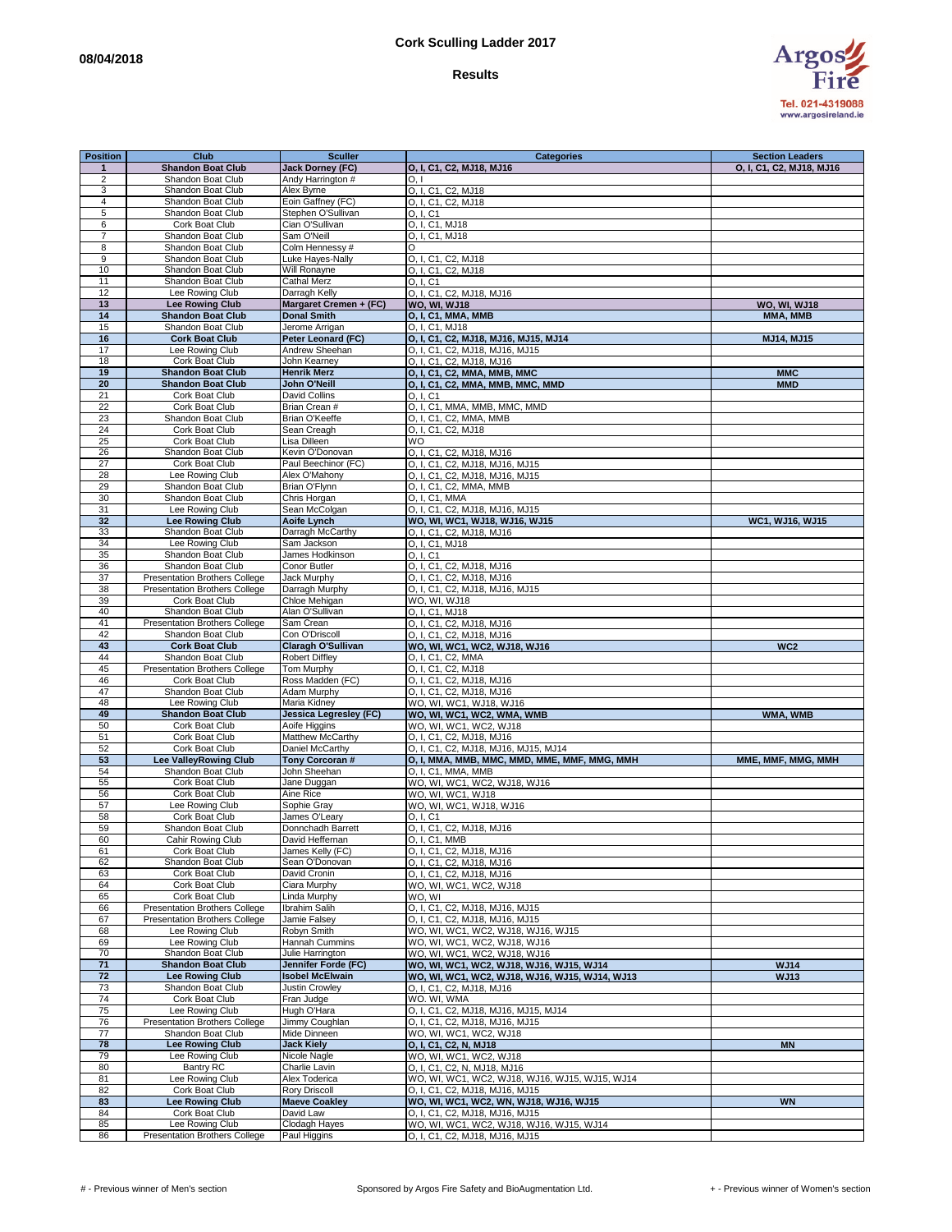## **Cork Sculling Ladder 2017**

## **Results**



| <b>Position</b> | Club                                 | <b>Sculler</b>          | <b>Categories</b>                              | <b>Section Leaders</b>   |
|-----------------|--------------------------------------|-------------------------|------------------------------------------------|--------------------------|
| $\mathbf{1}$    | <b>Shandon Boat Club</b>             | <b>Jack Dorney (FC)</b> | O, I, C1, C2, MJ18, MJ16                       | O, I, C1, C2, MJ18, MJ16 |
| $\overline{2}$  | Shandon Boat Club                    | Andy Harrington #       | O.1                                            |                          |
|                 |                                      |                         |                                                |                          |
| 3               | Shandon Boat Club                    | Alex Byrne              | O, I, C1, C2, MJ18                             |                          |
| $\overline{4}$  | Shandon Boat Club                    | Eoin Gaffney (FC)       | O. I. C1, C2, MJ18                             |                          |
| $\overline{5}$  | Shandon Boat Club                    | Stephen O'Sullivan      | O. I. C1                                       |                          |
| 6               | Cork Boat Club                       | Cian O'Sullivan         | O, I, C1, MJ18                                 |                          |
|                 |                                      |                         |                                                |                          |
| 7               | Shandon Boat Club                    | Sam O'Neill             | O, I, C1, MJ18                                 |                          |
| 8               | Shandon Boat Club                    | Colm Hennessy #         | O                                              |                          |
| 9               | Shandon Boat Club                    | Luke Hayes-Nally        | O, I, C1, C2, MJ18                             |                          |
|                 |                                      |                         |                                                |                          |
| 10              | Shandon Boat Club                    | Will Ronayne            | O, I, C1, C2, MJ18                             |                          |
| 11              | Shandon Boat Club                    | <b>Cathal Merz</b>      | O, I, C1                                       |                          |
| 12              | Lee Rowing Club                      | Darragh Kelly           | O, I, C1, C2, MJ18, MJ16                       |                          |
| 13              |                                      |                         |                                                |                          |
|                 | <b>Lee Rowing Club</b>               | Margaret Cremen + (FC)  | <b>WO, WI, WJ18</b>                            | <b>WO, WI, WJ18</b>      |
| 14              | <b>Shandon Boat Club</b>             | <b>Donal Smith</b>      | O, I, C1, MMA, MMB                             | MMA, MMB                 |
| 15              | Shandon Boat Club                    | Jerome Arrigan          | O. I. C1, MJ18                                 |                          |
| 16              | <b>Cork Boat Club</b>                | Peter Leonard (FC)      | O, I, C1, C2, MJ18, MJ16, MJ15, MJ14           | MJ14, MJ15               |
|                 |                                      |                         |                                                |                          |
| 17              | Lee Rowing Club                      | Andrew Sheehan          | O, I, C1, C2, MJ18, MJ16, MJ15                 |                          |
| 18              | Cork Boat Club                       | John Kearney            | O, I, C1, C2, MJ18, MJ16                       |                          |
| 19              | <b>Shandon Boat Club</b>             | <b>Henrik Merz</b>      | O, I, C1, C2, MMA, MMB, MMC                    | <b>MMC</b>               |
|                 |                                      |                         |                                                |                          |
| 20              | <b>Shandon Boat Club</b>             | John O'Neill            | O, I, C1, C2, MMA, MMB, MMC, MMD               | <b>MMD</b>               |
| 21              | Cork Boat Club                       | David Collins           | O. I. C1                                       |                          |
| 22              | Cork Boat Club                       | Brian Crean #           | O, I, C1, MMA, MMB, MMC, MMD                   |                          |
|                 |                                      |                         |                                                |                          |
| 23              | Shandon Boat Club                    | Brian O'Keeffe          | O, I, C1, C2, MMA, MMB                         |                          |
| 24              | Cork Boat Club                       | Sean Creagh             | O. I. C1, C2, MJ18                             |                          |
| 25              | Cork Boat Club                       | Lisa Dilleen            | WO                                             |                          |
| 26              | Shandon Boat Club                    | Kevin O'Donovan         |                                                |                          |
|                 |                                      |                         | O, I, C1, C2, MJ18, MJ16                       |                          |
| 27              | Cork Boat Club                       | Paul Beechinor (FC)     | O, I, C1, C2, MJ18, MJ16, MJ15                 |                          |
| 28              | Lee Rowing Club                      | Alex O'Mahony           | O, I, C1, C2, MJ18, MJ16, MJ15                 |                          |
| 29              | Shandon Boat Club                    | Brian O'Flynn           | O, I, C1, C2, MMA, MMB                         |                          |
|                 |                                      |                         |                                                |                          |
| 30              | Shandon Boat Club                    | Chris Horgan            | O, I, C1, MMA                                  |                          |
| 31              | Lee Rowing Club                      | Sean McColgan           | O, I, C1, C2, MJ18, MJ16, MJ15                 |                          |
| 32              | <b>Lee Rowing Club</b>               | <b>Aoife Lynch</b>      | WO, WI, WC1, WJ18, WJ16, WJ15                  | WC1, WJ16, WJ15          |
|                 |                                      |                         |                                                |                          |
| 33              | Shandon Boat Club                    | Darragh McCarthy        | O, I, C1, C2, MJ18, MJ16                       |                          |
| 34              | Lee Rowing Club                      | Sam Jackson             | O, I, C1, MJ18                                 |                          |
| 35              | Shandon Boat Club                    | James Hodkinson         | O. I. C1                                       |                          |
|                 |                                      |                         |                                                |                          |
| 36              | Shandon Boat Club                    | Conor Butler            | O, I, C1, C2, MJ18, MJ16                       |                          |
| $\overline{37}$ | <b>Presentation Brothers College</b> | Jack Murphy             | O, I, C1, C2, MJ18, MJ16                       |                          |
| 38              | <b>Presentation Brothers College</b> | Darragh Murphy          | O, I, C1, C2, MJ18, MJ16, MJ15                 |                          |
| 39              | <b>Cork Boat Club</b>                | Chloe Mehigan           |                                                |                          |
|                 |                                      |                         | WO, WI, WJ18                                   |                          |
| 40              | Shandon Boat Club                    | Alan O'Sullivan         | O, I, C1, MJ18                                 |                          |
| 41              | Presentation Brothers College        | Sam Crean               | O, I, C1, C2, MJ18, MJ16                       |                          |
| 42              | Shandon Boat Club                    | Con O'Driscoll          | O, I, C1, C2, MJ18, MJ16                       |                          |
|                 |                                      |                         |                                                |                          |
| 43              | <b>Cork Boat Club</b>                | Claragh O'Sullivan      | WO, WI, WC1, WC2, WJ18, WJ16                   | WC <sub>2</sub>          |
| 44              | Shandon Boat Club                    | <b>Robert Diffley</b>   | O, I, C1, C2, MMA                              |                          |
| 45              | <b>Presentation Brothers College</b> | Tom Murphy              | O, I, C1, C2, MJ18                             |                          |
| 46              | Cork Boat Club                       | Ross Madden (FC)        |                                                |                          |
|                 |                                      |                         | O, I, C1, C2, MJ18, MJ16                       |                          |
| 47              | Shandon Boat Club                    | Adam Murphy             | O, I, C1, C2, MJ18, MJ16                       |                          |
| 48              | Lee Rowing Club                      | Maria Kidney            | WO, WI, WC1, WJ18, WJ16                        |                          |
| 49              | <b>Shandon Boat Club</b>             | Jessica Legresley (FC)  | WO, WI, WC1, WC2, WMA, WMB                     | WMA, WMB                 |
|                 |                                      |                         |                                                |                          |
| 50              | Cork Boat Club                       | Aoife Higgins           | WO, WI, WC1, WC2, WJ18                         |                          |
| 51              | Cork Boat Club                       | Matthew McCarthy        | O, I, C1, C2, MJ18, MJ16                       |                          |
| 52              | Cork Boat Club                       | Daniel McCarthy         | O, I, C1, C2, MJ18, MJ16, MJ15, MJ14           |                          |
|                 |                                      |                         |                                                |                          |
| 53              | <b>Lee ValleyRowing Club</b>         | Tony Corcoran #         | O, I, MMA, MMB, MMC, MMD, MME, MMF, MMG, MMH   | MME, MMF, MMG, MMH       |
| 54              | Shandon Boat Club                    | John Sheehan            | O, I, C1, MMA, MMB                             |                          |
| 55              | Cork Boat Club                       | Jane Duggan             | WO, WI, WC1, WC2, WJ18, WJ16                   |                          |
| 56              | Cork Boat Club                       | Aine Rice               | WO, WI, WC1, WJ18                              |                          |
|                 |                                      |                         |                                                |                          |
| 57              | Lee Rowing Club                      | Sophie Gray             | WO, WI, WC1, WJ18, WJ16                        |                          |
| 58              | Cork Boat Club                       | James O'Leary           | O. I. C1                                       |                          |
| 59              | Shandon Boat Club                    | Donnchadh Barrett       | O, I, C1, C2, MJ18, MJ16                       |                          |
| 60              |                                      |                         |                                                |                          |
|                 | Cahir Rowing Club                    | David Heffernan         | O, I, C1, MMB                                  |                          |
| 61              | Cork Boat Club                       | James Kelly (FC)        | O, I, C1, C2, MJ18, MJ16                       |                          |
| 62              | Shandon Boat Club                    | Sean O'Donovan          | O, I, C1, C2, MJ18, MJ16                       |                          |
| 63              | Cork Boat Club                       | David Cronin            | O, I, C1, C2, MJ18, MJ16                       |                          |
|                 | Cork Boat Club                       |                         |                                                |                          |
| 64              |                                      | Ciara Murphy            | WO, WI, WC1, WC2, WJ18                         |                          |
| 65              | Cork Boat Club                       | Linda Murphy            | WO, WI                                         |                          |
| 66              | Presentation Brothers College        | Ibrahim Salih           | O, I, C1, C2, MJ18, MJ16, MJ15                 |                          |
| 67              | <b>Presentation Brothers College</b> | Jamie Falsey            | O, I, C1, C2, MJ18, MJ16, MJ15                 |                          |
|                 |                                      |                         |                                                |                          |
| 68              | Lee Rowing Club                      | Robyn Smith             | WO, WI, WC1, WC2, WJ18, WJ16, WJ15             |                          |
| 69              | Lee Rowing Club                      | Hannah Cummins          | WO, WI, WC1, WC2, WJ18, WJ16                   |                          |
| 70              | Shandon Boat Club                    | Julie Harrington        | WO, WI, WC1, WC2, WJ18, WJ16                   |                          |
|                 |                                      |                         |                                                |                          |
| $\overline{71}$ | <b>Shandon Boat Club</b>             | Jennifer Forde (FC)     | WO, WI, WC1, WC2, WJ18, WJ16, WJ15, WJ14       | WJ14                     |
| 72              | <b>Lee Rowing Club</b>               | <b>Isobel McElwain</b>  | WO, WI, WC1, WC2, WJ18, WJ16, WJ15, WJ14, WJ13 | <b>WJ13</b>              |
| 73              | Shandon Boat Club                    | <b>Justin Crowlev</b>   | O, I, C1, C2, MJ18, MJ16                       |                          |
| 74              | Cork Boat Club                       | Fran Judge              | WO. WI, WMA                                    |                          |
|                 |                                      |                         |                                                |                          |
| 75              | Lee Rowing Club                      | Hugh O'Hara             | O, I, C1, C2, MJ18, MJ16, MJ15, MJ14           |                          |
| 76              | Presentation Brothers College        | Jimmy Coughlan          | O, I, C1, C2, MJ18, MJ16, MJ15                 |                          |
| 77              | Shandon Boat Club                    | Mide Dinneen            | WO, WI, WC1, WC2, WJ18                         |                          |
|                 |                                      |                         |                                                |                          |
| 78              | <b>Lee Rowing Club</b>               | <b>Jack Kiely</b>       | O, I, C1, C2, N, MJ18                          | <b>MN</b>                |
| 79              | Lee Rowing Club                      | Nicole Nagle            | WO, WI, WC1, WC2, WJ18                         |                          |
| 80              | Bantry RC                            | Charlie Lavin           | O, I, C1, C2, N, MJ18, MJ16                    |                          |
|                 |                                      |                         |                                                |                          |
| 81              | Lee Rowing Club                      | Alex Toderica           | WO, WI, WC1, WC2, WJ18, WJ16, WJ15, WJ15, WJ14 |                          |
| 82              | Cork Boat Club                       | <b>Rory Driscoll</b>    | O, I, C1, C2, MJ18, MJ16, MJ15                 |                          |
| 83              | <b>Lee Rowing Club</b>               | <b>Maeve Coakley</b>    | WO, WI, WC1, WC2, WN, WJ18, WJ16, WJ15         | <b>WN</b>                |
|                 |                                      |                         |                                                |                          |
| 84              | Cork Boat Club                       | David Law               | O, I, C1, C2, MJ18, MJ16, MJ15                 |                          |
| 85              | Lee Rowing Club                      | Clodagh Hayes           | WO, WI, WC1, WC2, WJ18, WJ16, WJ15, WJ14       |                          |
| 86              | Presentation Brothers College        | Paul Higgins            | O, I, C1, C2, MJ18, MJ16, MJ15                 |                          |
|                 |                                      |                         |                                                |                          |